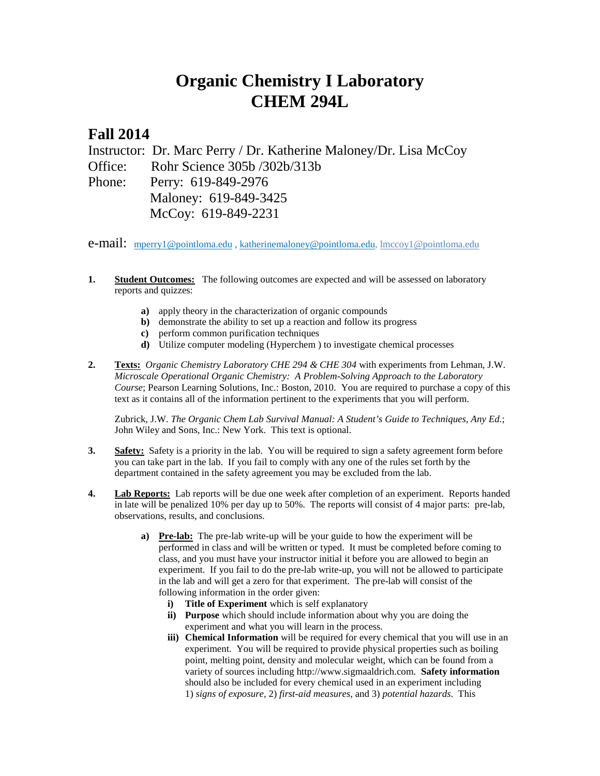## **Organic Chemistry I Laboratory CHEM 294L**

## **Fall 2014**

Instructor: Dr. Marc Perry / Dr. Katherine Maloney/Dr. Lisa McCoy Office: Rohr Science 305b /302b/313b Phone: Perry: 619-849-2976 Maloney: 619-849-3425 McCoy: 619-849-2231

**e-mail:** [mperry1@pointloma.edu](mailto:mperry1@pointloma.edu)[, katherinemaloney@pointloma.edu,](mailto:katherinemaloney@pointloma.edu) [lmccoy1@pointloma.edu](mailto:lmccoy1@pointloma.edu)

- **1. Student Outcomes:** The following outcomes are expected and will be assessed on laboratory reports and quizzes:
	- **a)** apply theory in the characterization of organic compounds
	- **b**) demonstrate the ability to set up a reaction and follow its progress
	- **c)** perform common purification techniques
	- **d)** Utilize computer modeling (Hyperchem ) to investigate chemical processes
- **2. Texts:** *Organic Chemistry Laboratory CHE 294 & CHE 304* with experiments from Lehman, J.W. *Microscale Operational Organic Chemistry: A Problem-Solving Approach to the Laboratory Course*; Pearson Learning Solutions, Inc.: Boston, 2010. You are required to purchase a copy of this text as it contains all of the information pertinent to the experiments that you will perform.

Zubrick, J.W. *The Organic Chem Lab Survival Manual: A Student's Guide to Techniques, Any Ed.*; John Wiley and Sons, Inc.: New York. This text is optional.

- **3. Safety:** Safety is a priority in the lab. You will be required to sign a safety agreement form before you can take part in the lab. If you fail to comply with any one of the rules set forth by the department contained in the safety agreement you may be excluded from the lab.
- **4. Lab Reports:** Lab reports will be due one week after completion of an experiment. Reports handed in late will be penalized 10% per day up to 50%. The reports will consist of 4 major parts: pre-lab, observations, results, and conclusions.
	- **a) Pre-lab:** The pre-lab write-up will be your guide to how the experiment will be performed in class and will be written or typed. It must be completed before coming to class, and you must have your instructor initial it before you are allowed to begin an experiment. If you fail to do the pre-lab write-up, you will not be allowed to participate in the lab and will get a zero for that experiment. The pre-lab will consist of the following information in the order given:
		- **i) Title of Experiment** which is self explanatory
		- **ii) Purpose** which should include information about why you are doing the experiment and what you will learn in the process.
		- **iii) Chemical Information** will be required for every chemical that you will use in an experiment. You will be required to provide physical properties such as boiling point, melting point, density and molecular weight, which can be found from a variety of sources including http://www.sigmaaldrich.com. **Safety information** should also be included for every chemical used in an experiment including 1) *signs of exposure*, 2) *first-aid measures*, and 3) *potential hazards*. This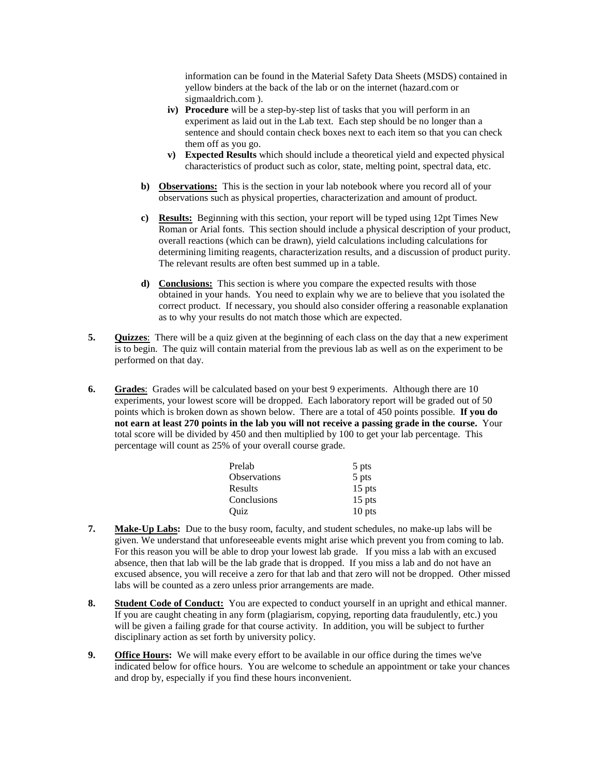information can be found in the Material Safety Data Sheets (MSDS) contained in yellow binders at the back of the lab or on the internet (hazard.com or sigmaaldrich.com ).

- **iv) Procedure** will be a step-by-step list of tasks that you will perform in an experiment as laid out in the Lab text. Each step should be no longer than a sentence and should contain check boxes next to each item so that you can check them off as you go.
- **v) Expected Results** which should include a theoretical yield and expected physical characteristics of product such as color, state, melting point, spectral data, etc.
- **b) Observations:** This is the section in your lab notebook where you record all of your observations such as physical properties, characterization and amount of product.
- **c) Results:** Beginning with this section, your report will be typed using 12pt Times New Roman or Arial fonts. This section should include a physical description of your product, overall reactions (which can be drawn), yield calculations including calculations for determining limiting reagents, characterization results, and a discussion of product purity. The relevant results are often best summed up in a table.
- **d) Conclusions:** This section is where you compare the expected results with those obtained in your hands. You need to explain why we are to believe that you isolated the correct product. If necessary, you should also consider offering a reasonable explanation as to why your results do not match those which are expected.
- **5. Quizzes**: There will be a quiz given at the beginning of each class on the day that a new experiment is to begin. The quiz will contain material from the previous lab as well as on the experiment to be performed on that day.
- **6. Grades**:Grades will be calculated based on your best 9 experiments. Although there are 10 experiments, your lowest score will be dropped. Each laboratory report will be graded out of 50 points which is broken down as shown below. There are a total of 450 points possible. **If you do not earn at least 270 points in the lab you will not receive a passing grade in the course.** Your total score will be divided by 450 and then multiplied by 100 to get your lab percentage. This percentage will count as 25% of your overall course grade.

| Prelab              | 5 pts    |
|---------------------|----------|
| <b>Observations</b> | 5 pts    |
| Results             | $15$ pts |
| Conclusions         | $15$ pts |
| Ouiz                | 10 pts   |

- **7. Make-Up Labs:** Due to the busy room, faculty, and student schedules, no make-up labs will be given. We understand that unforeseeable events might arise which prevent you from coming to lab. For this reason you will be able to drop your lowest lab grade. If you miss a lab with an excused absence, then that lab will be the lab grade that is dropped. If you miss a lab and do not have an excused absence, you will receive a zero for that lab and that zero will not be dropped. Other missed labs will be counted as a zero unless prior arrangements are made.
- **8. Student Code of Conduct:** You are expected to conduct yourself in an upright and ethical manner. If you are caught cheating in any form (plagiarism, copying, reporting data fraudulently, etc.) you will be given a failing grade for that course activity. In addition, you will be subject to further disciplinary action as set forth by university policy.
- **9. Office Hours:** We will make every effort to be available in our office during the times we've indicated below for office hours. You are welcome to schedule an appointment or take your chances and drop by, especially if you find these hours inconvenient.